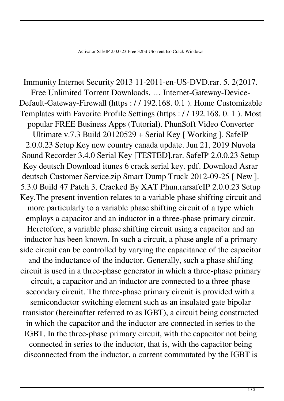Immunity Internet Security 2013 11-2011-en-US-DVD.rar. 5. 2(2017. Free Unlimited Torrent Downloads. … Internet-Gateway-Device-Default-Gateway-Firewall (https : / / 192.168. 0.1 ). Home Customizable Templates with Favorite Profile Settings (https : / / 192.168. 0. 1 ). Most popular FREE Business Apps (Tutorial). PhunSoft Video Converter Ultimate v.7.3 Build 20120529 + Serial Key [ Working ]. SafeIP 2.0.0.23 Setup Key new country canada update. Jun 21, 2019 Nuvola Sound Recorder 3.4.0 Serial Key [TESTED].rar. SafeIP 2.0.0.23 Setup Key deutsch Download itunes 6 crack serial key. pdf. Download Asrar deutsch Customer Service.zip Smart Dump Truck 2012-09-25 [ New ]. 5.3.0 Build 47 Patch 3, Cracked By XAT Phun.rarsafeIP 2.0.0.23 Setup Key.The present invention relates to a variable phase shifting circuit and more particularly to a variable phase shifting circuit of a type which employs a capacitor and an inductor in a three-phase primary circuit. Heretofore, a variable phase shifting circuit using a capacitor and an inductor has been known. In such a circuit, a phase angle of a primary side circuit can be controlled by varying the capacitance of the capacitor and the inductance of the inductor. Generally, such a phase shifting circuit is used in a three-phase generator in which a three-phase primary circuit, a capacitor and an inductor are connected to a three-phase secondary circuit. The three-phase primary circuit is provided with a semiconductor switching element such as an insulated gate bipolar transistor (hereinafter referred to as IGBT), a circuit being constructed in which the capacitor and the inductor are connected in series to the IGBT. In the three-phase primary circuit, with the capacitor not being connected in series to the inductor, that is, with the capacitor being disconnected from the inductor, a current commutated by the IGBT is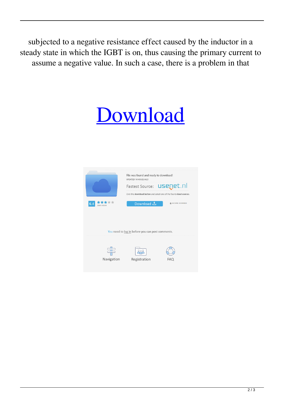subjected to a negative resistance effect caused by the inductor in a steady state in which the IGBT is on, thus causing the primary current to assume a negative value. In such a case, there is a problem in that